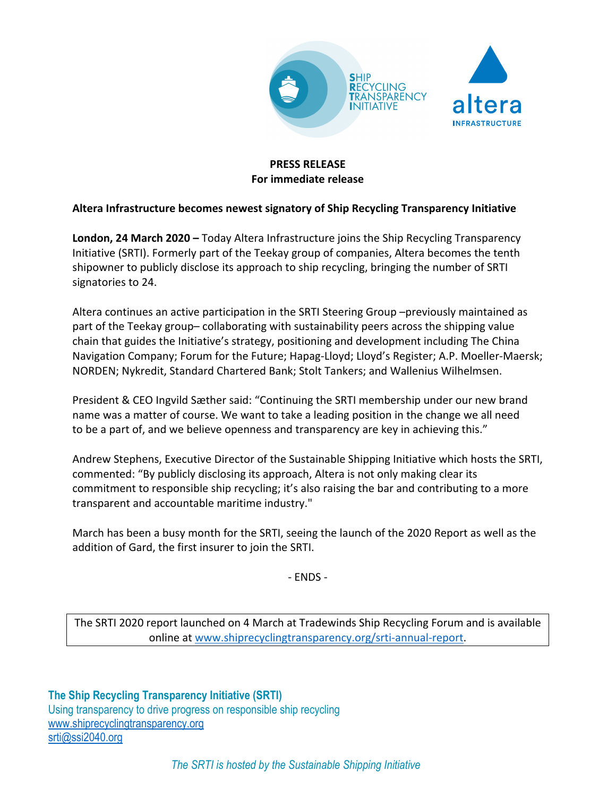

# **PRESS RELEASE For immediate release**

## **Altera Infrastructure becomes newest signatory of Ship Recycling Transparency Initiative**

**London, 24 March 2020 –** Today Altera Infrastructure joins the Ship Recycling Transparency Initiative (SRTI). Formerly part of the Teekay group of companies, Altera becomes the tenth shipowner to publicly disclose its approach to ship recycling, bringing the number of SRTI signatories to 24.

Altera continues an active participation in the SRTI Steering Group –previously maintained as part of the Teekay group– collaborating with sustainability peers across the shipping value chain that guides the Initiative's strategy, positioning and development including The China Navigation Company; Forum for the Future; Hapag-Lloyd; Lloyd's Register; A.P. Moeller-Maersk; NORDEN; Nykredit, Standard Chartered Bank; Stolt Tankers; and Wallenius Wilhelmsen.

President & CEO Ingvild Sæther said: "Continuing the SRTI membership under our new brand name was a matter of course. We want to take a leading position in the change we all need to be a part of, and we believe openness and transparency are key in achieving this."

Andrew Stephens, Executive Director of the Sustainable Shipping Initiative which hosts the SRTI, commented: "By publicly disclosing its approach, Altera is not only making clear its commitment to responsible ship recycling; it's also raising the bar and contributing to a more transparent and accountable maritime industry."

March has been a busy month for the SRTI, seeing the launch of the 2020 Report as well as the addition of Gard, the first insurer to join the SRTI.

- ENDS -

The SRTI 2020 report launched on 4 March at Tradewinds Ship Recycling Forum and is available online at www.shiprecyclingtransparency.org/srti-annual-report.

**The Ship Recycling Transparency Initiative (SRTI)** Using transparency to drive progress on responsible ship recycling www.shiprecyclingtransparency.org srti@ssi2040.org

*The SRTI is hosted by the Sustainable Shipping Initiative*